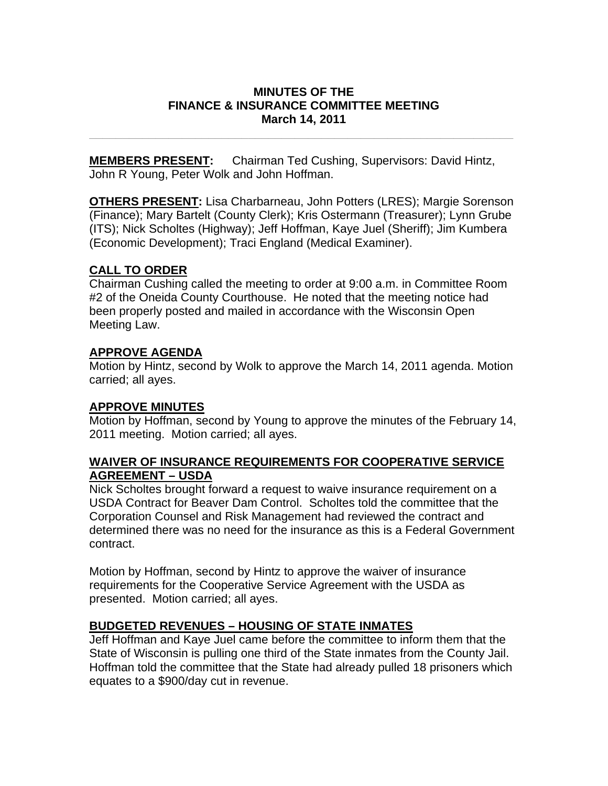### **MINUTES OF THE FINANCE & INSURANCE COMMITTEE MEETING March 14, 2011**

**\_\_\_\_\_\_\_\_\_\_\_\_\_\_\_\_\_\_\_\_\_\_\_\_\_\_\_\_\_\_\_\_\_\_\_\_\_\_\_\_\_\_\_\_\_\_\_\_\_\_\_\_\_\_\_\_\_\_\_\_\_\_\_\_** 

**MEMBERS PRESENT:** Chairman Ted Cushing, Supervisors: David Hintz, John R Young, Peter Wolk and John Hoffman.

**OTHERS PRESENT:** Lisa Charbarneau, John Potters (LRES); Margie Sorenson (Finance); Mary Bartelt (County Clerk); Kris Ostermann (Treasurer); Lynn Grube (ITS); Nick Scholtes (Highway); Jeff Hoffman, Kaye Juel (Sheriff); Jim Kumbera (Economic Development); Traci England (Medical Examiner).

# **CALL TO ORDER**

Chairman Cushing called the meeting to order at 9:00 a.m. in Committee Room #2 of the Oneida County Courthouse. He noted that the meeting notice had been properly posted and mailed in accordance with the Wisconsin Open Meeting Law.

# **APPROVE AGENDA**

Motion by Hintz, second by Wolk to approve the March 14, 2011 agenda. Motion carried; all ayes.

### **APPROVE MINUTES**

Motion by Hoffman, second by Young to approve the minutes of the February 14, 2011 meeting. Motion carried; all ayes.

# **WAIVER OF INSURANCE REQUIREMENTS FOR COOPERATIVE SERVICE AGREEMENT – USDA**

Nick Scholtes brought forward a request to waive insurance requirement on a USDA Contract for Beaver Dam Control. Scholtes told the committee that the Corporation Counsel and Risk Management had reviewed the contract and determined there was no need for the insurance as this is a Federal Government contract.

Motion by Hoffman, second by Hintz to approve the waiver of insurance requirements for the Cooperative Service Agreement with the USDA as presented. Motion carried; all ayes.

# **BUDGETED REVENUES – HOUSING OF STATE INMATES**

Jeff Hoffman and Kaye Juel came before the committee to inform them that the State of Wisconsin is pulling one third of the State inmates from the County Jail. Hoffman told the committee that the State had already pulled 18 prisoners which equates to a \$900/day cut in revenue.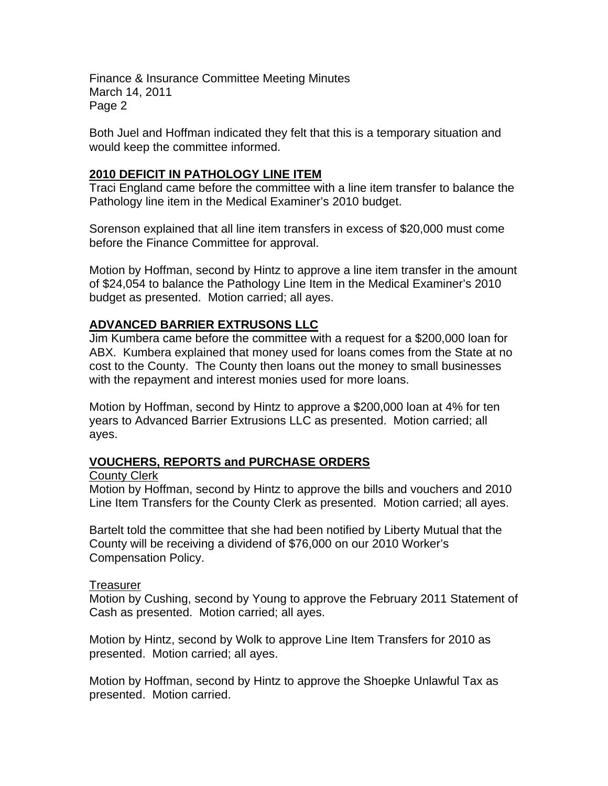Finance & Insurance Committee Meeting Minutes March 14, 2011 Page 2

Both Juel and Hoffman indicated they felt that this is a temporary situation and would keep the committee informed.

# **2010 DEFICIT IN PATHOLOGY LINE ITEM**

Traci England came before the committee with a line item transfer to balance the Pathology line item in the Medical Examiner's 2010 budget.

Sorenson explained that all line item transfers in excess of \$20,000 must come before the Finance Committee for approval.

Motion by Hoffman, second by Hintz to approve a line item transfer in the amount of \$24,054 to balance the Pathology Line Item in the Medical Examiner's 2010 budget as presented. Motion carried; all ayes.

# **ADVANCED BARRIER EXTRUSONS LLC**

Jim Kumbera came before the committee with a request for a \$200,000 loan for ABX. Kumbera explained that money used for loans comes from the State at no cost to the County. The County then loans out the money to small businesses with the repayment and interest monies used for more loans.

Motion by Hoffman, second by Hintz to approve a \$200,000 loan at 4% for ten years to Advanced Barrier Extrusions LLC as presented. Motion carried; all ayes.

# **VOUCHERS, REPORTS and PURCHASE ORDERS**

### County Clerk

Motion by Hoffman, second by Hintz to approve the bills and vouchers and 2010 Line Item Transfers for the County Clerk as presented. Motion carried; all ayes.

Bartelt told the committee that she had been notified by Liberty Mutual that the County will be receiving a dividend of \$76,000 on our 2010 Worker's Compensation Policy.

### Treasurer

Motion by Cushing, second by Young to approve the February 2011 Statement of Cash as presented. Motion carried; all ayes.

Motion by Hintz, second by Wolk to approve Line Item Transfers for 2010 as presented. Motion carried; all ayes.

Motion by Hoffman, second by Hintz to approve the Shoepke Unlawful Tax as presented. Motion carried.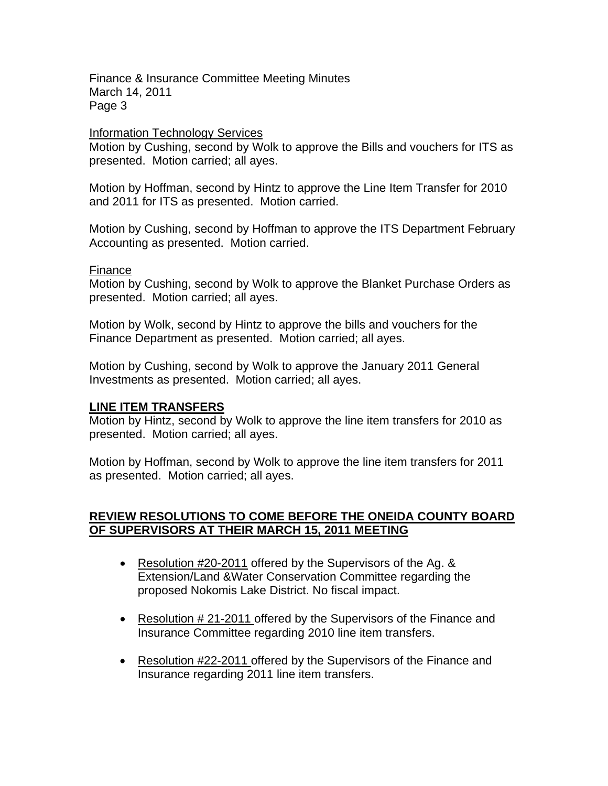Finance & Insurance Committee Meeting Minutes March 14, 2011 Page 3

#### Information Technology Services

Motion by Cushing, second by Wolk to approve the Bills and vouchers for ITS as presented. Motion carried; all ayes.

Motion by Hoffman, second by Hintz to approve the Line Item Transfer for 2010 and 2011 for ITS as presented. Motion carried.

Motion by Cushing, second by Hoffman to approve the ITS Department February Accounting as presented. Motion carried.

#### Finance

Motion by Cushing, second by Wolk to approve the Blanket Purchase Orders as presented. Motion carried; all ayes.

Motion by Wolk, second by Hintz to approve the bills and vouchers for the Finance Department as presented. Motion carried; all ayes.

Motion by Cushing, second by Wolk to approve the January 2011 General Investments as presented. Motion carried; all ayes.

### **LINE ITEM TRANSFERS**

Motion by Hintz, second by Wolk to approve the line item transfers for 2010 as presented. Motion carried; all ayes.

Motion by Hoffman, second by Wolk to approve the line item transfers for 2011 as presented. Motion carried; all ayes.

### **REVIEW RESOLUTIONS TO COME BEFORE THE ONEIDA COUNTY BOARD OF SUPERVISORS AT THEIR MARCH 15, 2011 MEETING**

- Resolution #20-2011 offered by the Supervisors of the Ag. & Extension/Land &Water Conservation Committee regarding the proposed Nokomis Lake District. No fiscal impact.
- Resolution #21-2011 offered by the Supervisors of the Finance and Insurance Committee regarding 2010 line item transfers.
- Resolution #22-2011 offered by the Supervisors of the Finance and Insurance regarding 2011 line item transfers.